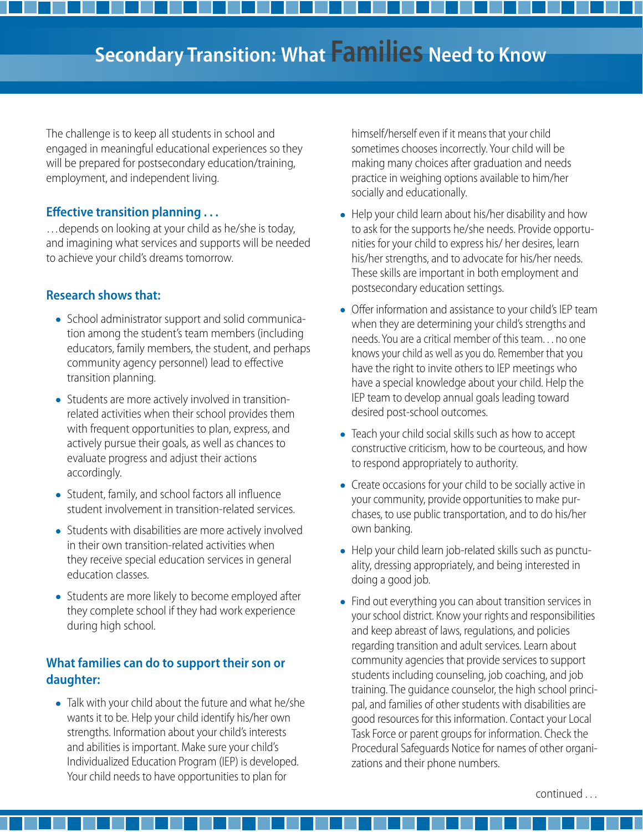The challenge is to keep all students in school and engaged in meaningful educational experiences so they will be prepared for postsecondary education/training, employment, and independent living.

### **Efective transition planning . . .**

…depends on looking at your child as he/she is today, and imagining what services and supports will be needed to achieve your child's dreams tomorrow.

## **Research shows that:**

- • School administrator support and solid communication among the student's team members (including educators, family members, the student, and perhaps community agency personnel) lead to efective transition planning.
- Students are more actively involved in transitionrelated activities when their school provides them with frequent opportunities to plan, express, and actively pursue their goals, as well as chances to evaluate progress and adjust their actions accordingly.
- • Student, family, and school factors all infuence student involvement in transition-related services.
- • Students with disabilities are more actively involved in their own transition-related activities when they receive special education services in general education classes.
- • Students are more likely to become employed after they complete school if they had work experience during high school.

## **What families can do to support their son or daughter:**

I • Talk with your child about the future and what he/she wants it to be. Help your child identify his/her own strengths. Information about your child's interests and abilities is important. Make sure your child's Individualized Education Program (IEP) is developed. Your child needs to have opportunities to plan for

himself/herself even if it means that your child sometimes chooses incorrectly. Your child will be making many choices after graduation and needs practice in weighing options available to him/her socially and educationally.

- ļ • Help your child learn about his/her disability and how to ask for the supports he/she needs. Provide opportunities for your child to express his/ her desires, learn his/her strengths, and to advocate for his/her needs. These skills are important in both employment and postsecondary education settings.
- ļ • Offer information and assistance to your child's IEP team when they are determining your child's strengths and needs. You are a critical member of this team. . . no one knows your child as well as you do. Remember that you have the right to invite others to IEP meetings who have a special knowledge about your child. Help the IEP team to develop annual goals leading toward desired post-school outcomes.
- ļ • Teach your child social skills such as how to accept constructive criticism, how to be courteous, and how to respond appropriately to authority.
- ļ • Create occasions for your child to be socially active in your community, provide opportunities to make purchases, to use public transportation, and to do his/her own banking.
- ļ • Help your child learn job-related skills such as punctuality, dressing appropriately, and being interested in doing a good job.
- ļ • Find out everything you can about transition services in your school district. Know your rights and responsibilities and keep abreast of laws, regulations, and policies regarding transition and adult services. Learn about community agencies that provide services to support students including counseling, job coaching, and job training. The guidance counselor, the high school principal, and families of other students with disabilities are good resources for this information. Contact your Local Task Force or parent groups for information. Check the Procedural Safeguards Notice for names of other organizations and their phone numbers.

continued . . .